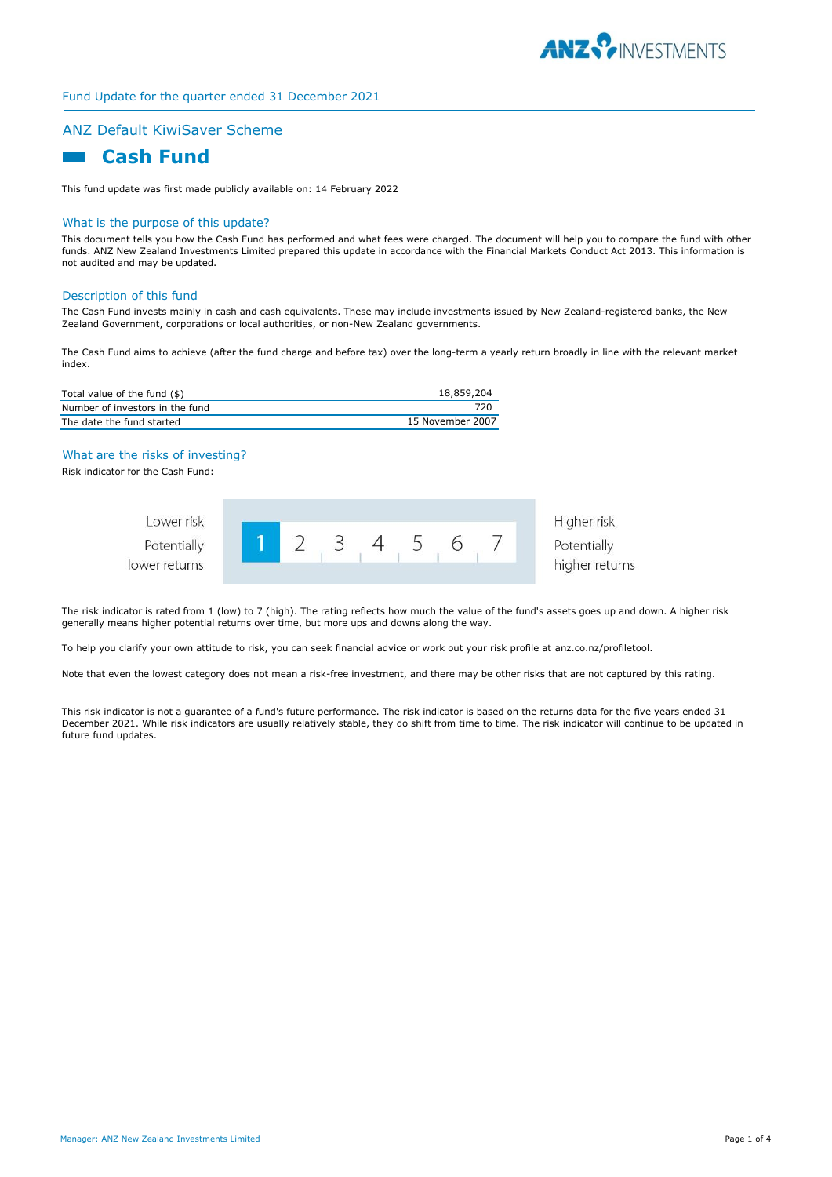

# ANZ Default KiwiSaver Scheme

# **Cash Fund**

This fund update was first made publicly available on: 14 February 2022

#### What is the purpose of this update?

This document tells you how the Cash Fund has performed and what fees were charged. The document will help you to compare the fund with other funds. ANZ New Zealand Investments Limited prepared this update in accordance with the Financial Markets Conduct Act 2013. This information is not audited and may be updated.

#### Description of this fund

The Cash Fund invests mainly in cash and cash equivalents. These may include investments issued by New Zealand-registered banks, the New Zealand Government, corporations or local authorities, or non-New Zealand governments.

The Cash Fund aims to achieve (after the fund charge and before tax) over the long-term a yearly return broadly in line with the relevant market index.

| Total value of the fund (\$)    | 18,859,204       |
|---------------------------------|------------------|
| Number of investors in the fund |                  |
| The date the fund started       | 15 November 2007 |

#### What are the risks of investing?

Risk indicator for the Cash Fund:



The risk indicator is rated from 1 (low) to 7 (high). The rating reflects how much the value of the fund's assets goes up and down. A higher risk generally means higher potential returns over time, but more ups and downs along the way.

To help you clarify your own attitude to risk, you can seek financial advice or work out your risk profile at anz.co.nz/profiletool.

Note that even the lowest category does not mean a risk-free investment, and there may be other risks that are not captured by this rating.

This risk indicator is not a guarantee of a fund's future performance. The risk indicator is based on the returns data for the five years ended 31 December 2021. While risk indicators are usually relatively stable, they do shift from time to time. The risk indicator will continue to be updated in future fund updates.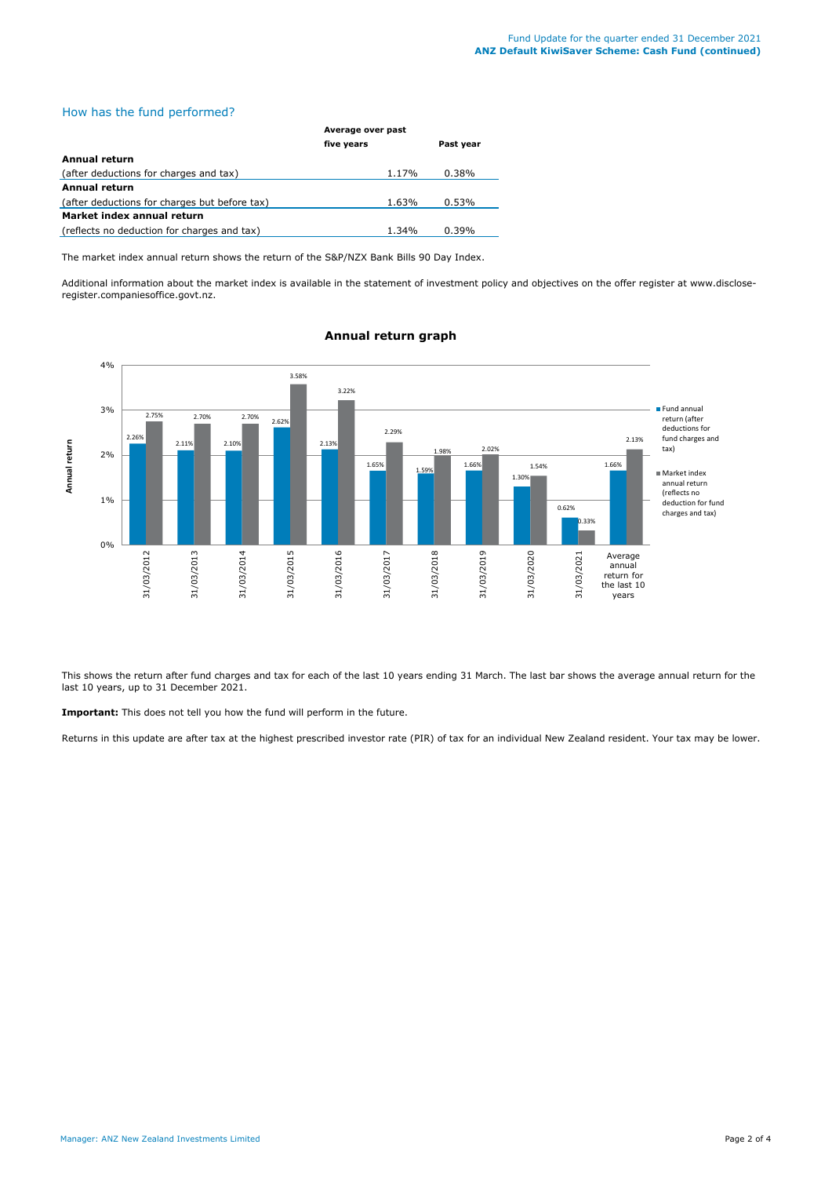### How has the fund performed?

|                                               | Average over past |           |  |
|-----------------------------------------------|-------------------|-----------|--|
|                                               | five years        | Past year |  |
| Annual return                                 |                   |           |  |
| (after deductions for charges and tax)        | 1.17%             | 0.38%     |  |
| Annual return                                 |                   |           |  |
| (after deductions for charges but before tax) | 1.63%             | 0.53%     |  |
| Market index annual return                    |                   |           |  |
| (reflects no deduction for charges and tax)   | 1.34%             | 0.39%     |  |

The market index annual return shows the return of the S&P/NZX Bank Bills 90 Day Index.

Additional information about the market index is available in the statement of investment policy and objectives on the offer register at www.discloseregister.companiesoffice.govt.nz.



### **Annual return graph**

This shows the return after fund charges and tax for each of the last 10 years ending 31 March. The last bar shows the average annual return for the last 10 years, up to 31 December 2021.

**Important:** This does not tell you how the fund will perform in the future.

Returns in this update are after tax at the highest prescribed investor rate (PIR) of tax for an individual New Zealand resident. Your tax may be lower.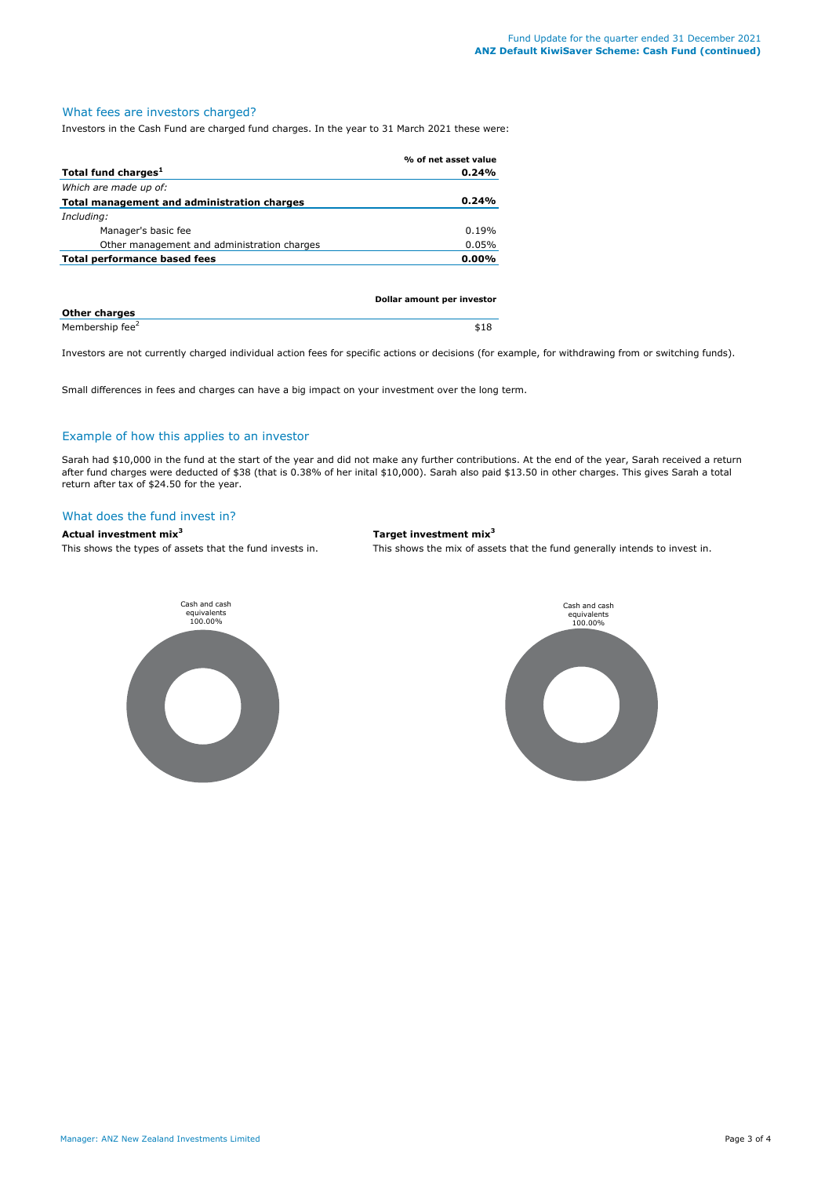# What fees are investors charged?

Investors in the Cash Fund are charged fund charges. In the year to 31 March 2021 these were:

|                                             | % of net asset value |
|---------------------------------------------|----------------------|
| Total fund charges <sup>1</sup>             | 0.24%                |
| Which are made up of:                       |                      |
| Total management and administration charges | 0.24%                |
| Including:                                  |                      |
| Manager's basic fee                         | 0.19%                |
| Other management and administration charges | 0.05%                |
| <b>Total performance based fees</b>         | $0.00\%$             |
|                                             |                      |
|                                             |                      |

|                             | Dollar amount per investor |  |
|-----------------------------|----------------------------|--|
| <b>Other charges</b>        |                            |  |
| Membership fee <sup>2</sup> | \$18                       |  |

Investors are not currently charged individual action fees for specific actions or decisions (for example, for withdrawing from or switching funds).

Small differences in fees and charges can have a big impact on your investment over the long term.

### Example of how this applies to an investor

Sarah had \$10,000 in the fund at the start of the year and did not make any further contributions. At the end of the year, Sarah received a return after fund charges were deducted of \$38 (that is 0.38% of her inital \$10,000). Sarah also paid \$13.50 in other charges. This gives Sarah a total return after tax of \$24.50 for the year.

#### What does the fund invest in?



This shows the types of assets that the fund invests in. This shows the mix of assets that the fund generally intends to invest in.